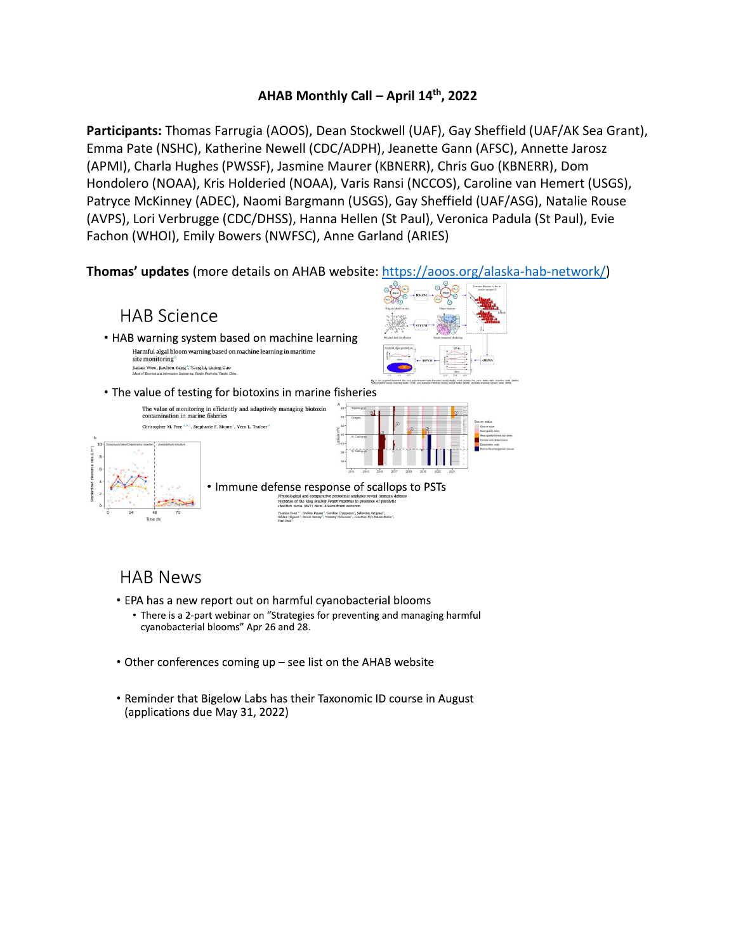## **AHAB Monthly Call – April 14 th, 2022**

**Participants:** Thomas Farrugia (AOOS), Dean Stockwell (UAF), Gay Sheffield (UAF/AK Sea Grant), Emma Pate (NSHC), Katherine Newell (CDC/ADPH), Jeanette Gann (AFSC), Annette Jarosz (APMI), Charla Hughes (PWSSF), Jasmine Maurer (KBNERR), Chris Guo (KBNERR), Dom Hondolero (NOAA), Kris Holderied (NOAA), Varis Ransi (NCCOS), Caroline van Hemert (USGS), Patryce McKinney (ADEC), Naomi Bargmann (USGS), Gay Sheffield (UAF/ASG), Natalie Rouse (AVPS), Lori Verbrugge (CDC/DHSS), Hanna Hellen (St Paul), Veronica Padula (St Paul), Evie Fachon (WHOI), Emily Bowers (NWFSC), Anne Garland (ARIES)

**Thomas' updates** (more details on AHAB website[: https://aoos.org/alaska-hab-network/\)](https://aoos.org/alaska-hab-network/)



# **HAB News**

- EPA has a new report out on harmful cyanobacterial blooms
	- There is a 2-part webinar on "Strategies for preventing and managing harmful cyanobacterial blooms" Apr 26 and 28.
- Other conferences coming up see list on the AHAB website
- Reminder that Bigelow Labs has their Taxonomic ID course in August (applications due May 31, 2022)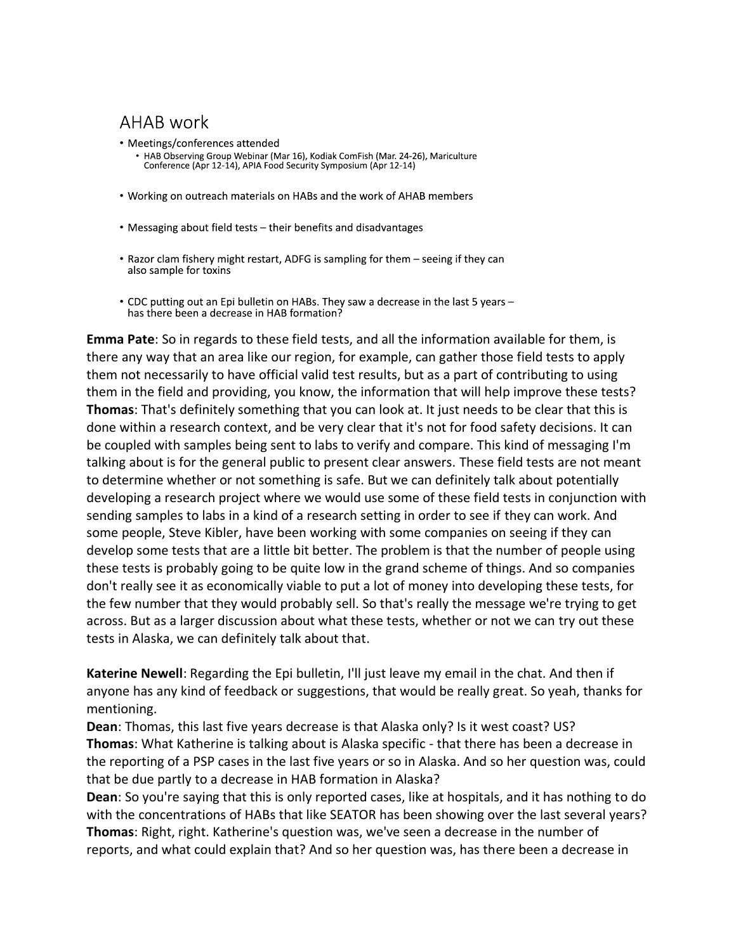## **AHAB** work

- Meetings/conferences attended • HAB Observing Group Webinar (Mar 16), Kodiak ComFish (Mar. 24-26), Mariculture Conference (Apr 12-14), APIA Food Security Symposium (Apr 12-14)
- Working on outreach materials on HABs and the work of AHAB members
- Messaging about field tests their benefits and disadvantages
- Razor clam fishery might restart, ADFG is sampling for them seeing if they can also sample for toxins
- CDC putting out an Epi bulletin on HABs. They saw a decrease in the last 5 years has there been a decrease in HAB formation?

**Emma Pate**: So in regards to these field tests, and all the information available for them, is there any way that an area like our region, for example, can gather those field tests to apply them not necessarily to have official valid test results, but as a part of contributing to using them in the field and providing, you know, the information that will help improve these tests? **Thomas**: That's definitely something that you can look at. It just needs to be clear that this is done within a research context, and be very clear that it's not for food safety decisions. It can be coupled with samples being sent to labs to verify and compare. This kind of messaging I'm talking about is for the general public to present clear answers. These field tests are not meant to determine whether or not something is safe. But we can definitely talk about potentially developing a research project where we would use some of these field tests in conjunction with sending samples to labs in a kind of a research setting in order to see if they can work. And some people, Steve Kibler, have been working with some companies on seeing if they can develop some tests that are a little bit better. The problem is that the number of people using these tests is probably going to be quite low in the grand scheme of things. And so companies don't really see it as economically viable to put a lot of money into developing these tests, for the few number that they would probably sell. So that's really the message we're trying to get across. But as a larger discussion about what these tests, whether or not we can try out these tests in Alaska, we can definitely talk about that.

**Katerine Newell**: Regarding the Epi bulletin, I'll just leave my email in the chat. And then if anyone has any kind of feedback or suggestions, that would be really great. So yeah, thanks for mentioning.

**Dean**: Thomas, this last five years decrease is that Alaska only? Is it west coast? US? **Thomas**: What Katherine is talking about is Alaska specific - that there has been a decrease in the reporting of a PSP cases in the last five years or so in Alaska. And so her question was, could that be due partly to a decrease in HAB formation in Alaska?

**Dean**: So you're saying that this is only reported cases, like at hospitals, and it has nothing to do with the concentrations of HABs that like SEATOR has been showing over the last several years? **Thomas**: Right, right. Katherine's question was, we've seen a decrease in the number of reports, and what could explain that? And so her question was, has there been a decrease in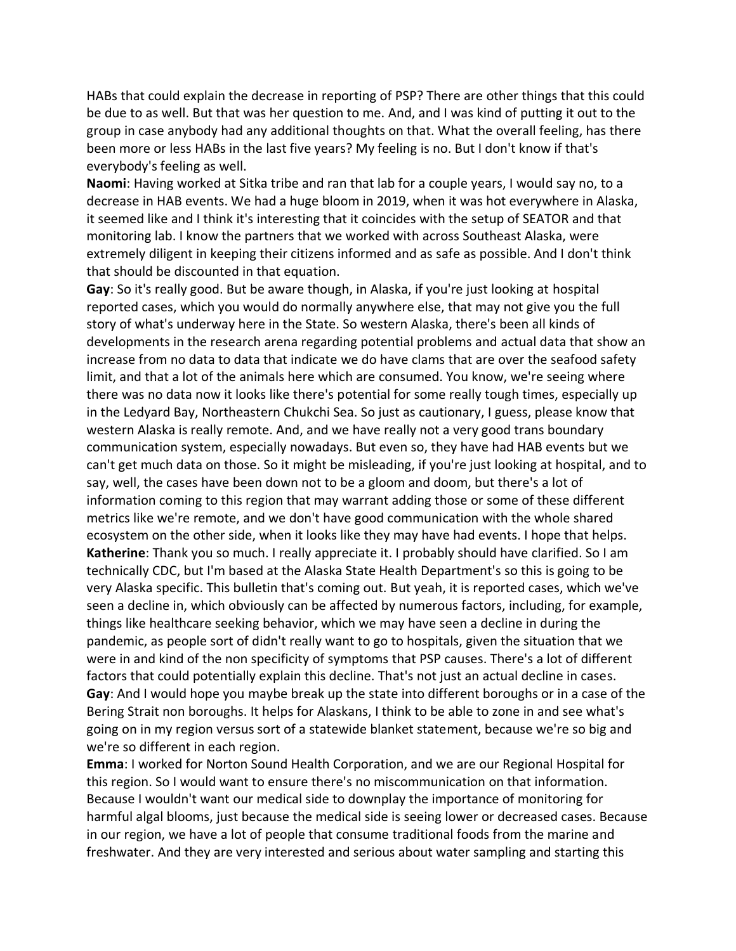HABs that could explain the decrease in reporting of PSP? There are other things that this could be due to as well. But that was her question to me. And, and I was kind of putting it out to the group in case anybody had any additional thoughts on that. What the overall feeling, has there been more or less HABs in the last five years? My feeling is no. But I don't know if that's everybody's feeling as well.

**Naomi**: Having worked at Sitka tribe and ran that lab for a couple years, I would say no, to a decrease in HAB events. We had a huge bloom in 2019, when it was hot everywhere in Alaska, it seemed like and I think it's interesting that it coincides with the setup of SEATOR and that monitoring lab. I know the partners that we worked with across Southeast Alaska, were extremely diligent in keeping their citizens informed and as safe as possible. And I don't think that should be discounted in that equation.

**Gay**: So it's really good. But be aware though, in Alaska, if you're just looking at hospital reported cases, which you would do normally anywhere else, that may not give you the full story of what's underway here in the State. So western Alaska, there's been all kinds of developments in the research arena regarding potential problems and actual data that show an increase from no data to data that indicate we do have clams that are over the seafood safety limit, and that a lot of the animals here which are consumed. You know, we're seeing where there was no data now it looks like there's potential for some really tough times, especially up in the Ledyard Bay, Northeastern Chukchi Sea. So just as cautionary, I guess, please know that western Alaska is really remote. And, and we have really not a very good trans boundary communication system, especially nowadays. But even so, they have had HAB events but we can't get much data on those. So it might be misleading, if you're just looking at hospital, and to say, well, the cases have been down not to be a gloom and doom, but there's a lot of information coming to this region that may warrant adding those or some of these different metrics like we're remote, and we don't have good communication with the whole shared ecosystem on the other side, when it looks like they may have had events. I hope that helps. **Katherine**: Thank you so much. I really appreciate it. I probably should have clarified. So I am technically CDC, but I'm based at the Alaska State Health Department's so this is going to be very Alaska specific. This bulletin that's coming out. But yeah, it is reported cases, which we've seen a decline in, which obviously can be affected by numerous factors, including, for example, things like healthcare seeking behavior, which we may have seen a decline in during the pandemic, as people sort of didn't really want to go to hospitals, given the situation that we were in and kind of the non specificity of symptoms that PSP causes. There's a lot of different factors that could potentially explain this decline. That's not just an actual decline in cases. **Gay**: And I would hope you maybe break up the state into different boroughs or in a case of the Bering Strait non boroughs. It helps for Alaskans, I think to be able to zone in and see what's going on in my region versus sort of a statewide blanket statement, because we're so big and we're so different in each region.

**Emma**: I worked for Norton Sound Health Corporation, and we are our Regional Hospital for this region. So I would want to ensure there's no miscommunication on that information. Because I wouldn't want our medical side to downplay the importance of monitoring for harmful algal blooms, just because the medical side is seeing lower or decreased cases. Because in our region, we have a lot of people that consume traditional foods from the marine and freshwater. And they are very interested and serious about water sampling and starting this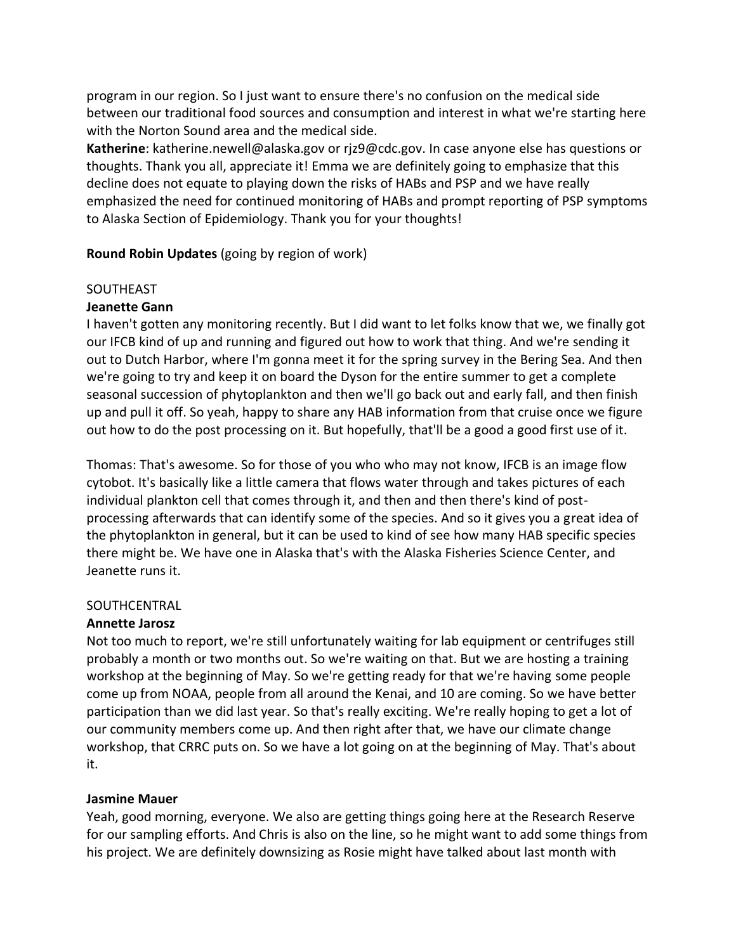program in our region. So I just want to ensure there's no confusion on the medical side between our traditional food sources and consumption and interest in what we're starting here with the Norton Sound area and the medical side.

**Katherine**: katherine.newell@alaska.gov or rjz9@cdc.gov. In case anyone else has questions or thoughts. Thank you all, appreciate it! Emma we are definitely going to emphasize that this decline does not equate to playing down the risks of HABs and PSP and we have really emphasized the need for continued monitoring of HABs and prompt reporting of PSP symptoms to Alaska Section of Epidemiology. Thank you for your thoughts!

**Round Robin Updates** (going by region of work)

## **SOUTHEAST**

## **Jeanette Gann**

I haven't gotten any monitoring recently. But I did want to let folks know that we, we finally got our IFCB kind of up and running and figured out how to work that thing. And we're sending it out to Dutch Harbor, where I'm gonna meet it for the spring survey in the Bering Sea. And then we're going to try and keep it on board the Dyson for the entire summer to get a complete seasonal succession of phytoplankton and then we'll go back out and early fall, and then finish up and pull it off. So yeah, happy to share any HAB information from that cruise once we figure out how to do the post processing on it. But hopefully, that'll be a good a good first use of it.

Thomas: That's awesome. So for those of you who who may not know, IFCB is an image flow cytobot. It's basically like a little camera that flows water through and takes pictures of each individual plankton cell that comes through it, and then and then there's kind of postprocessing afterwards that can identify some of the species. And so it gives you a great idea of the phytoplankton in general, but it can be used to kind of see how many HAB specific species there might be. We have one in Alaska that's with the Alaska Fisheries Science Center, and Jeanette runs it.

#### SOUTHCENTRAL

## **Annette Jarosz**

Not too much to report, we're still unfortunately waiting for lab equipment or centrifuges still probably a month or two months out. So we're waiting on that. But we are hosting a training workshop at the beginning of May. So we're getting ready for that we're having some people come up from NOAA, people from all around the Kenai, and 10 are coming. So we have better participation than we did last year. So that's really exciting. We're really hoping to get a lot of our community members come up. And then right after that, we have our climate change workshop, that CRRC puts on. So we have a lot going on at the beginning of May. That's about it.

## **Jasmine Mauer**

Yeah, good morning, everyone. We also are getting things going here at the Research Reserve for our sampling efforts. And Chris is also on the line, so he might want to add some things from his project. We are definitely downsizing as Rosie might have talked about last month with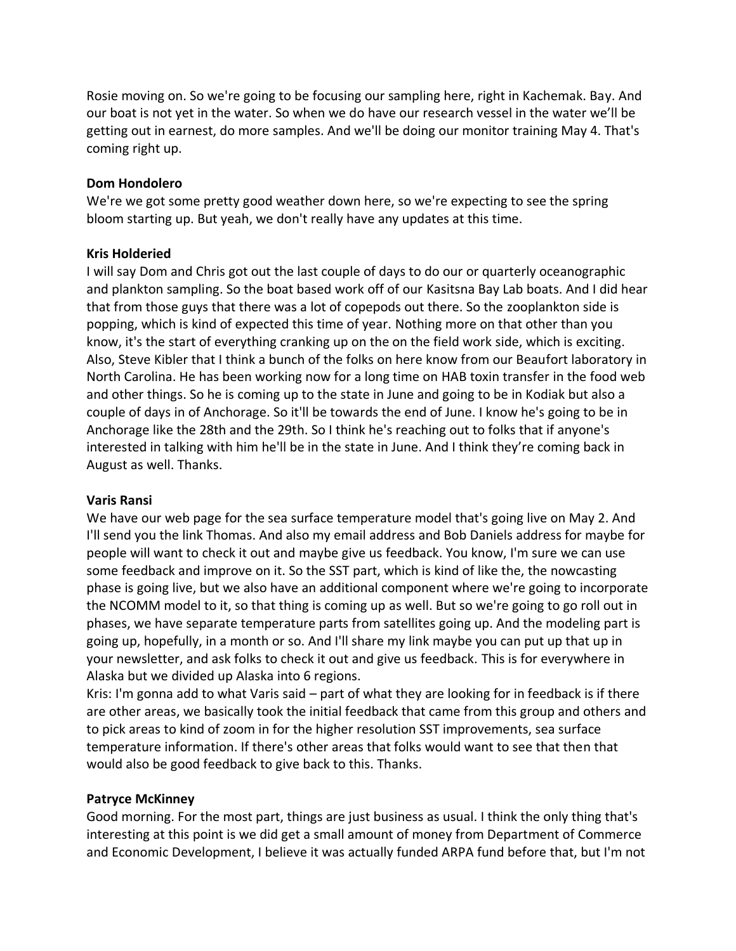Rosie moving on. So we're going to be focusing our sampling here, right in Kachemak. Bay. And our boat is not yet in the water. So when we do have our research vessel in the water we'll be getting out in earnest, do more samples. And we'll be doing our monitor training May 4. That's coming right up.

#### **Dom Hondolero**

We're we got some pretty good weather down here, so we're expecting to see the spring bloom starting up. But yeah, we don't really have any updates at this time.

## **Kris Holderied**

I will say Dom and Chris got out the last couple of days to do our or quarterly oceanographic and plankton sampling. So the boat based work off of our Kasitsna Bay Lab boats. And I did hear that from those guys that there was a lot of copepods out there. So the zooplankton side is popping, which is kind of expected this time of year. Nothing more on that other than you know, it's the start of everything cranking up on the on the field work side, which is exciting. Also, Steve Kibler that I think a bunch of the folks on here know from our Beaufort laboratory in North Carolina. He has been working now for a long time on HAB toxin transfer in the food web and other things. So he is coming up to the state in June and going to be in Kodiak but also a couple of days in of Anchorage. So it'll be towards the end of June. I know he's going to be in Anchorage like the 28th and the 29th. So I think he's reaching out to folks that if anyone's interested in talking with him he'll be in the state in June. And I think they're coming back in August as well. Thanks.

## **Varis Ransi**

We have our web page for the sea surface temperature model that's going live on May 2. And I'll send you the link Thomas. And also my email address and Bob Daniels address for maybe for people will want to check it out and maybe give us feedback. You know, I'm sure we can use some feedback and improve on it. So the SST part, which is kind of like the, the nowcasting phase is going live, but we also have an additional component where we're going to incorporate the NCOMM model to it, so that thing is coming up as well. But so we're going to go roll out in phases, we have separate temperature parts from satellites going up. And the modeling part is going up, hopefully, in a month or so. And I'll share my link maybe you can put up that up in your newsletter, and ask folks to check it out and give us feedback. This is for everywhere in Alaska but we divided up Alaska into 6 regions.

Kris: I'm gonna add to what Varis said – part of what they are looking for in feedback is if there are other areas, we basically took the initial feedback that came from this group and others and to pick areas to kind of zoom in for the higher resolution SST improvements, sea surface temperature information. If there's other areas that folks would want to see that then that would also be good feedback to give back to this. Thanks.

## **Patryce McKinney**

Good morning. For the most part, things are just business as usual. I think the only thing that's interesting at this point is we did get a small amount of money from Department of Commerce and Economic Development, I believe it was actually funded ARPA fund before that, but I'm not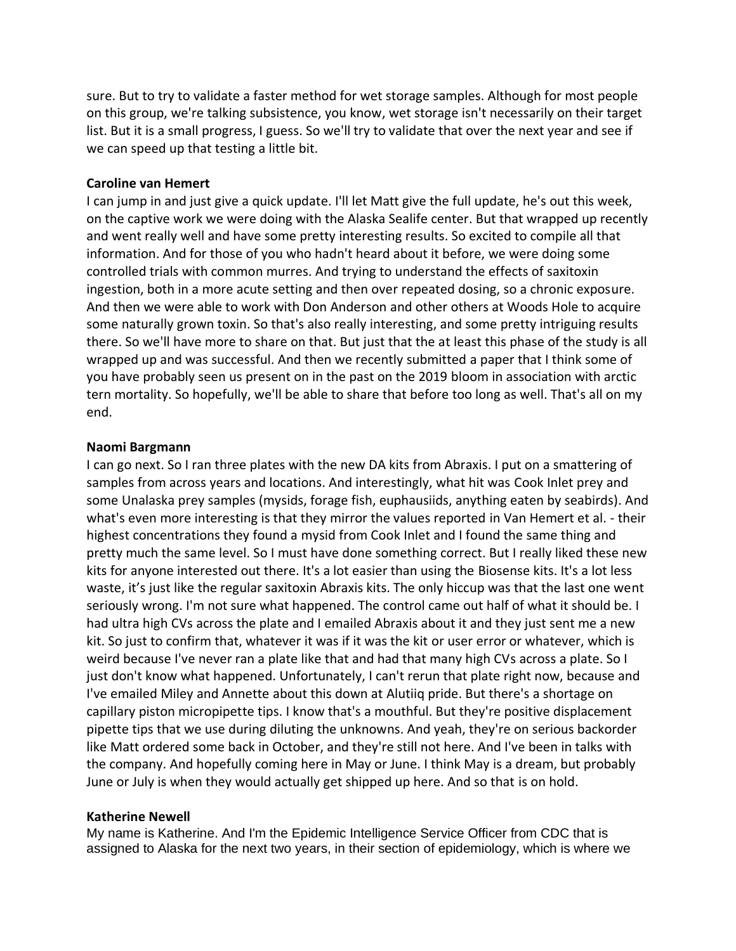sure. But to try to validate a faster method for wet storage samples. Although for most people on this group, we're talking subsistence, you know, wet storage isn't necessarily on their target list. But it is a small progress, I guess. So we'll try to validate that over the next year and see if we can speed up that testing a little bit.

#### **Caroline van Hemert**

I can jump in and just give a quick update. I'll let Matt give the full update, he's out this week, on the captive work we were doing with the Alaska Sealife center. But that wrapped up recently and went really well and have some pretty interesting results. So excited to compile all that information. And for those of you who hadn't heard about it before, we were doing some controlled trials with common murres. And trying to understand the effects of saxitoxin ingestion, both in a more acute setting and then over repeated dosing, so a chronic exposure. And then we were able to work with Don Anderson and other others at Woods Hole to acquire some naturally grown toxin. So that's also really interesting, and some pretty intriguing results there. So we'll have more to share on that. But just that the at least this phase of the study is all wrapped up and was successful. And then we recently submitted a paper that I think some of you have probably seen us present on in the past on the 2019 bloom in association with arctic tern mortality. So hopefully, we'll be able to share that before too long as well. That's all on my end.

## **Naomi Bargmann**

I can go next. So I ran three plates with the new DA kits from Abraxis. I put on a smattering of samples from across years and locations. And interestingly, what hit was Cook Inlet prey and some Unalaska prey samples (mysids, forage fish, euphausiids, anything eaten by seabirds). And what's even more interesting is that they mirror the values reported in Van Hemert et al. - their highest concentrations they found a mysid from Cook Inlet and I found the same thing and pretty much the same level. So I must have done something correct. But I really liked these new kits for anyone interested out there. It's a lot easier than using the Biosense kits. It's a lot less waste, it's just like the regular saxitoxin Abraxis kits. The only hiccup was that the last one went seriously wrong. I'm not sure what happened. The control came out half of what it should be. I had ultra high CVs across the plate and I emailed Abraxis about it and they just sent me a new kit. So just to confirm that, whatever it was if it was the kit or user error or whatever, which is weird because I've never ran a plate like that and had that many high CVs across a plate. So I just don't know what happened. Unfortunately, I can't rerun that plate right now, because and I've emailed Miley and Annette about this down at Alutiiq pride. But there's a shortage on capillary piston micropipette tips. I know that's a mouthful. But they're positive displacement pipette tips that we use during diluting the unknowns. And yeah, they're on serious backorder like Matt ordered some back in October, and they're still not here. And I've been in talks with the company. And hopefully coming here in May or June. I think May is a dream, but probably June or July is when they would actually get shipped up here. And so that is on hold.

#### **Katherine Newell**

My name is Katherine. And I'm the Epidemic Intelligence Service Officer from CDC that is assigned to Alaska for the next two years, in their section of epidemiology, which is where we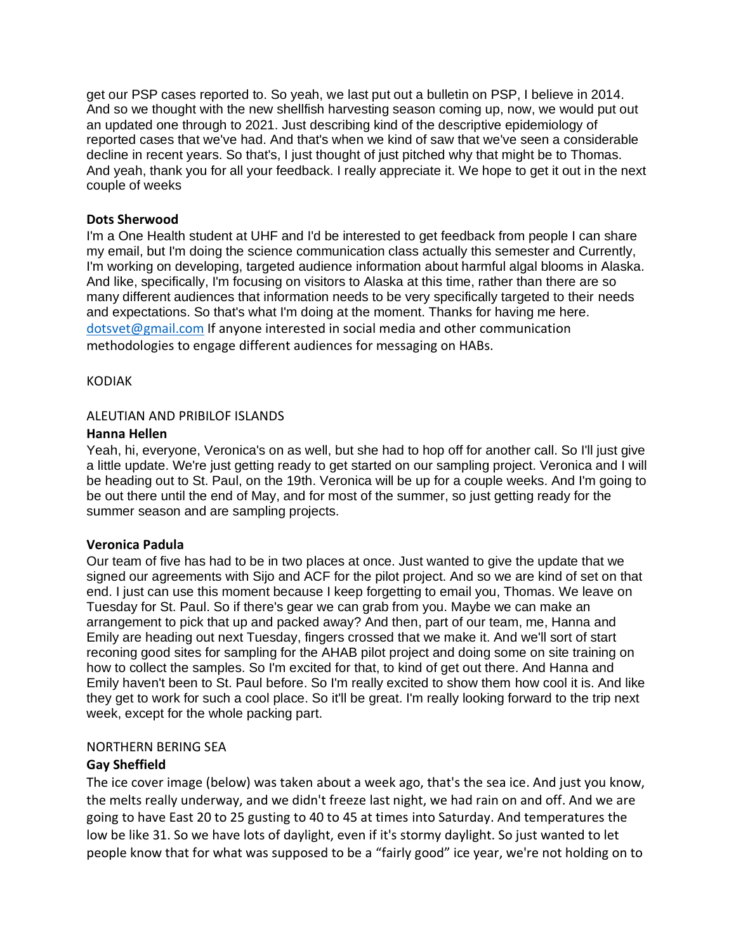get our PSP cases reported to. So yeah, we last put out a bulletin on PSP, I believe in 2014. And so we thought with the new shellfish harvesting season coming up, now, we would put out an updated one through to 2021. Just describing kind of the descriptive epidemiology of reported cases that we've had. And that's when we kind of saw that we've seen a considerable decline in recent years. So that's, I just thought of just pitched why that might be to Thomas. And yeah, thank you for all your feedback. I really appreciate it. We hope to get it out in the next couple of weeks

#### **Dots Sherwood**

I'm a One Health student at UHF and I'd be interested to get feedback from people I can share my email, but I'm doing the science communication class actually this semester and Currently, I'm working on developing, targeted audience information about harmful algal blooms in Alaska. And like, specifically, I'm focusing on visitors to Alaska at this time, rather than there are so many different audiences that information needs to be very specifically targeted to their needs and expectations. So that's what I'm doing at the moment. Thanks for having me here. [dotsvet@gmail.com](mailto:dotsvet@gmail.com) If anyone interested in social media and other communication methodologies to engage different audiences for messaging on HABs.

#### KODIAK

## ALEUTIAN AND PRIBILOF ISLANDS

#### **Hanna Hellen**

Yeah, hi, everyone, Veronica's on as well, but she had to hop off for another call. So I'll just give a little update. We're just getting ready to get started on our sampling project. Veronica and I will be heading out to St. Paul, on the 19th. Veronica will be up for a couple weeks. And I'm going to be out there until the end of May, and for most of the summer, so just getting ready for the summer season and are sampling projects.

## **Veronica Padula**

Our team of five has had to be in two places at once. Just wanted to give the update that we signed our agreements with Sijo and ACF for the pilot project. And so we are kind of set on that end. I just can use this moment because I keep forgetting to email you, Thomas. We leave on Tuesday for St. Paul. So if there's gear we can grab from you. Maybe we can make an arrangement to pick that up and packed away? And then, part of our team, me, Hanna and Emily are heading out next Tuesday, fingers crossed that we make it. And we'll sort of start reconing good sites for sampling for the AHAB pilot project and doing some on site training on how to collect the samples. So I'm excited for that, to kind of get out there. And Hanna and Emily haven't been to St. Paul before. So I'm really excited to show them how cool it is. And like they get to work for such a cool place. So it'll be great. I'm really looking forward to the trip next week, except for the whole packing part.

#### NORTHERN BERING SEA

## **Gay Sheffield**

The ice cover image (below) was taken about a week ago, that's the sea ice. And just you know, the melts really underway, and we didn't freeze last night, we had rain on and off. And we are going to have East 20 to 25 gusting to 40 to 45 at times into Saturday. And temperatures the low be like 31. So we have lots of daylight, even if it's stormy daylight. So just wanted to let people know that for what was supposed to be a "fairly good" ice year, we're not holding on to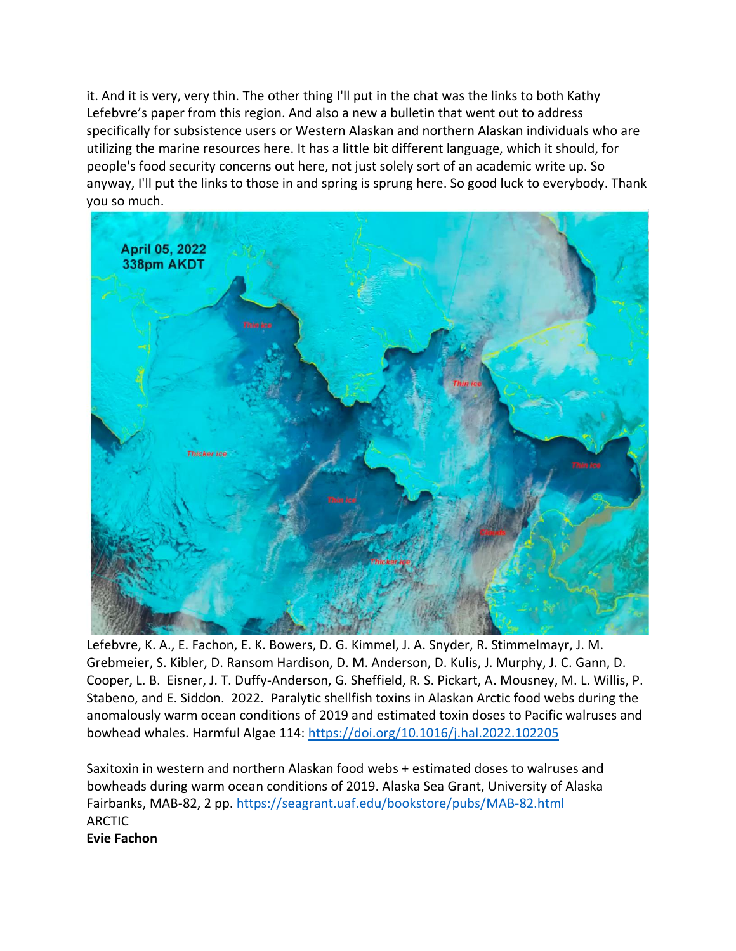it. And it is very, very thin. The other thing I'll put in the chat was the links to both Kathy Lefebvre's paper from this region. And also a new a bulletin that went out to address specifically for subsistence users or Western Alaskan and northern Alaskan individuals who are utilizing the marine resources here. It has a little bit different language, which it should, for people's food security concerns out here, not just solely sort of an academic write up. So anyway, I'll put the links to those in and spring is sprung here. So good luck to everybody. Thank you so much.



Lefebvre, K. A., E. Fachon, E. K. Bowers, D. G. Kimmel, J. A. Snyder, R. Stimmelmayr, J. M. Grebmeier, S. Kibler, D. Ransom Hardison, D. M. Anderson, D. Kulis, J. Murphy, J. C. Gann, D. Cooper, L. B. Eisner, J. T. Duffy-Anderson, G. Sheffield, R. S. Pickart, A. Mousney, M. L. Willis, P. Stabeno, and E. Siddon. 2022. Paralytic shellfish toxins in Alaskan Arctic food webs during the anomalously warm ocean conditions of 2019 and estimated toxin doses to Pacific walruses and bowhead whales. Harmful Algae 114:<https://doi.org/10.1016/j.hal.2022.102205>

Saxitoxin in western and northern Alaskan food webs + estimated doses to walruses and bowheads during warm ocean conditions of 2019. Alaska Sea Grant, University of Alaska Fairbanks, MAB-82, 2 pp.<https://seagrant.uaf.edu/bookstore/pubs/MAB-82.html> ARCTIC **Evie Fachon**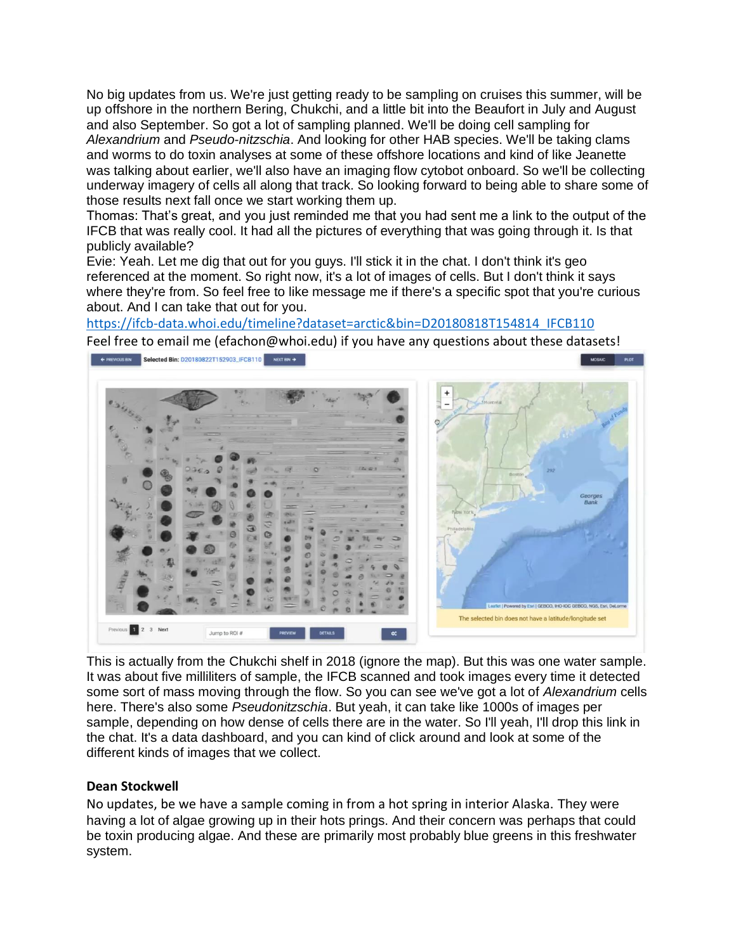No big updates from us. We're just getting ready to be sampling on cruises this summer, will be up offshore in the northern Bering, Chukchi, and a little bit into the Beaufort in July and August and also September. So got a lot of sampling planned. We'll be doing cell sampling for *Alexandrium* and *Pseudo-nitzschia*. And looking for other HAB species. We'll be taking clams and worms to do toxin analyses at some of these offshore locations and kind of like Jeanette was talking about earlier, we'll also have an imaging flow cytobot onboard. So we'll be collecting underway imagery of cells all along that track. So looking forward to being able to share some of those results next fall once we start working them up.

Thomas: That's great, and you just reminded me that you had sent me a link to the output of the IFCB that was really cool. It had all the pictures of everything that was going through it. Is that publicly available?

Evie: Yeah. Let me dig that out for you guys. I'll stick it in the chat. I don't think it's geo referenced at the moment. So right now, it's a lot of images of cells. But I don't think it says where they're from. So feel free to like message me if there's a specific spot that you're curious about. And I can take that out for you.

[https://ifcb-data.whoi.edu/timeline?dataset=arctic&bin=D20180818T154814\\_IFCB110](https://ifcb-data.whoi.edu/timeline?dataset=arctic&bin=D20180818T154814_IFCB110)

Feel free to email me (efachon@whoi.edu) if you have any questions about these datasets! FREVIOUS BIN Selected Bin: 020180822T152903\_IFCB110 NEXTERN → MOSAIC PLOT



This is actually from the Chukchi shelf in 2018 (ignore the map). But this was one water sample. It was about five milliliters of sample, the IFCB scanned and took images every time it detected some sort of mass moving through the flow. So you can see we've got a lot of *Alexandrium* cells here. There's also some *Pseudonitzschia*. But yeah, it can take like 1000s of images per sample, depending on how dense of cells there are in the water. So I'll yeah, I'll drop this link in the chat. It's a data dashboard, and you can kind of click around and look at some of the different kinds of images that we collect.

## **Dean Stockwell**

No updates, be we have a sample coming in from a hot spring in interior Alaska. They were having a lot of algae growing up in their hots prings. And their concern was perhaps that could be toxin producing algae. And these are primarily most probably blue greens in this freshwater system.